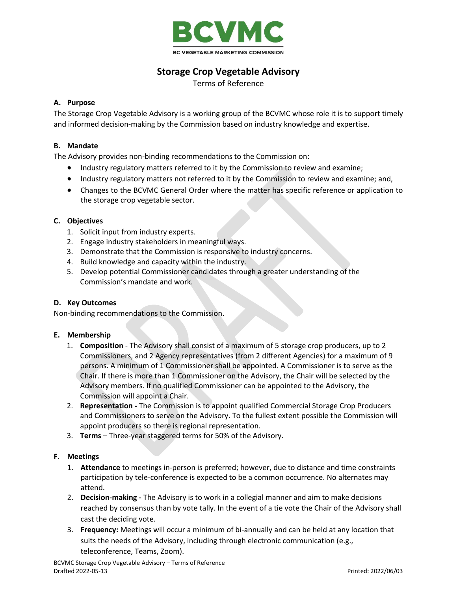

# **Storage Crop Vegetable Advisory**

Terms of Reference

# **A. Purpose**

The Storage Crop Vegetable Advisory is a working group of the BCVMC whose role it is to support timely and informed decision-making by the Commission based on industry knowledge and expertise.

## **B. Mandate**

The Advisory provides non-binding recommendations to the Commission on:

- Industry regulatory matters referred to it by the Commission to review and examine;
- Industry regulatory matters not referred to it by the Commission to review and examine; and,
- Changes to the BCVMC General Order where the matter has specific reference or application to the storage crop vegetable sector.

# **C. Objectives**

- 1. Solicit input from industry experts.
- 2. Engage industry stakeholders in meaningful ways.
- 3. Demonstrate that the Commission is responsive to industry concerns.
- 4. Build knowledge and capacity within the industry.
- 5. Develop potential Commissioner candidates through a greater understanding of the Commission's mandate and work.

### **D. Key Outcomes**

Non-binding recommendations to the Commission.

### **E. Membership**

- 1. **Composition** The Advisory shall consist of a maximum of 5 storage crop producers, up to 2 Commissioners, and 2 Agency representatives (from 2 different Agencies) for a maximum of 9 persons. A minimum of 1 Commissioner shall be appointed. A Commissioner is to serve as the Chair. If there is more than 1 Commissioner on the Advisory, the Chair will be selected by the Advisory members. If no qualified Commissioner can be appointed to the Advisory, the Commission will appoint a Chair.
- 2. **Representation -** The Commission is to appoint qualified Commercial Storage Crop Producers and Commissioners to serve on the Advisory. To the fullest extent possible the Commission will appoint producers so there is regional representation.
- 3. **Terms** Three-year staggered terms for 50% of the Advisory.

### **F. Meetings**

- 1. **Attendance** to meetings in-person is preferred; however, due to distance and time constraints participation by tele-conference is expected to be a common occurrence. No alternates may attend.
- 2. **Decision-making -** The Advisory is to work in a collegial manner and aim to make decisions reached by consensus than by vote tally. In the event of a tie vote the Chair of the Advisory shall cast the deciding vote.
- 3. **Frequency:** Meetings will occur a minimum of bi-annually and can be held at any location that suits the needs of the Advisory, including through electronic communication (e.g., teleconference, Teams, Zoom).